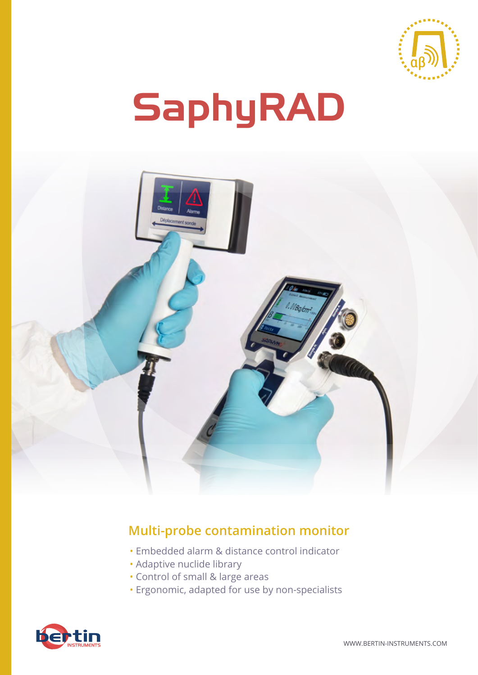

# SaphyRAD



# **Multi-probe contamination monitor**

- Embedded alarm & distance control indicator
- Adaptive nuclide library
- Control of small & large areas
- Ergonomic, adapted for use by non-specialists